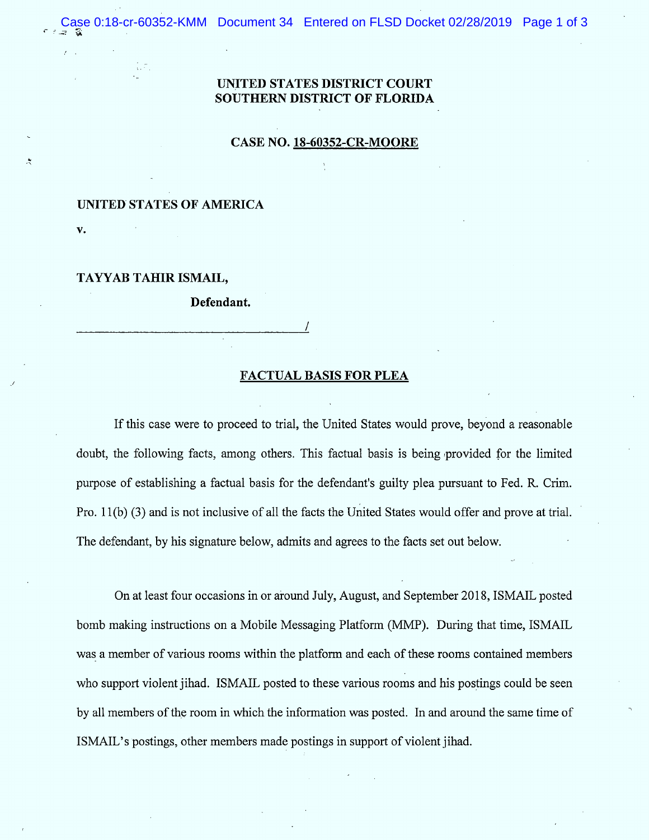# UNJTED STATES DISTRICT COURT SOUTHERN DISTRICT OF FLORIDA

#### **CASE NO. 18-60352-CR-MOORE**

## UNITED STATES OF AMERICA

V.

ζđ.

 $\ddot{\mathbf{z}}$ 

# TAYYAB TAHIR ISMAIL,

Defendant.

### FACTUAL BASIS FOR PLEA

lf this case were to proceed to trial, the United States would prove, beyond a reasonable doubt, the following facts, among others. This factual basis is being provided for the limited purpose of establishing a factual basis for the defendant's guilty plea pursuant to Fed. R. Crim . Pro. 1 1(b) (3) and is not inclusive of all the facts the United States would offer and prove at trial. The defendant, by his signature below, admits and agrees to the facts set out below.

On at least four occasions in or around July, August, and September 2018, ISMAIL posted bomb making instructions on a Mobile Messaging Platform (MMP). During that time, ISMAIL was a member of various rooms within the platform and each of these rooms contained members who support violent jihad. ISMAIL posted to these various rooms and his postings could be seen by all members of the room in which the information was posted. In and around the same time of ISMAIL's postings, other members made postings in support of violent jihad.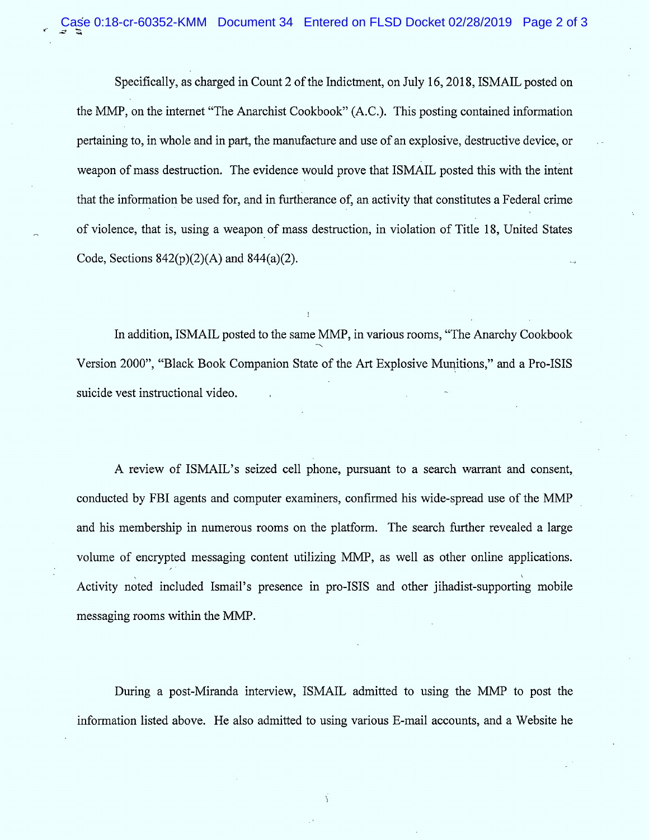Specifically, as charged in Count 2 of the Indictment, on July 16, 2018, ISMAIL posted on the MMP, on the internet "The Anarchist Cookbook" (A.C.). This posting contained information pertaining to, in whole and in part, the manufacture and use of an explosive, destructive device, or weapon of mass destruction. The evidence would prove that ISMAIL posted this with the intent that the information be used for, and in furtherance of, an activity that constitutes a Federal crime of violence, that is, using a weapon of mass destruction, in violation of Title 18, United States Code, Sections  $842(p)(2)(A)$  and  $844(a)(2)$ .

In addition, ISMAIL posted to the same MMP, in various rooms, "The Anarchy Cookbook Version 2000", "Black Book Companion State of the Art Explosive Munitions," and a Pro-ISIS suicide vest instructional video.

A review of ISMAIL's seized cell phone, pursuant to a search warrant and consent, conducted by FBI agents and computer examiners, confirmed his wide-spread use of the MMP and his membership in numerous rooms on the platform. The search further revealed a large volume of encrypted messaging content utilizing MMP, as well as other online applications. . The contract of the contract of the contract of the contract of the contract of the contract of the contract of the contract of the contract of the contract of the contract of the contract of the contract of the contrac Activity noted included lsmail's presence in pro-lsls and other jihadist-supporting mobile messaging rooms within the MMP.

During a post-Miranda interview, ISMAIL admitted to using the MMP to post the information listed above. He also admitted to using various E-mail accounts, and a Website he